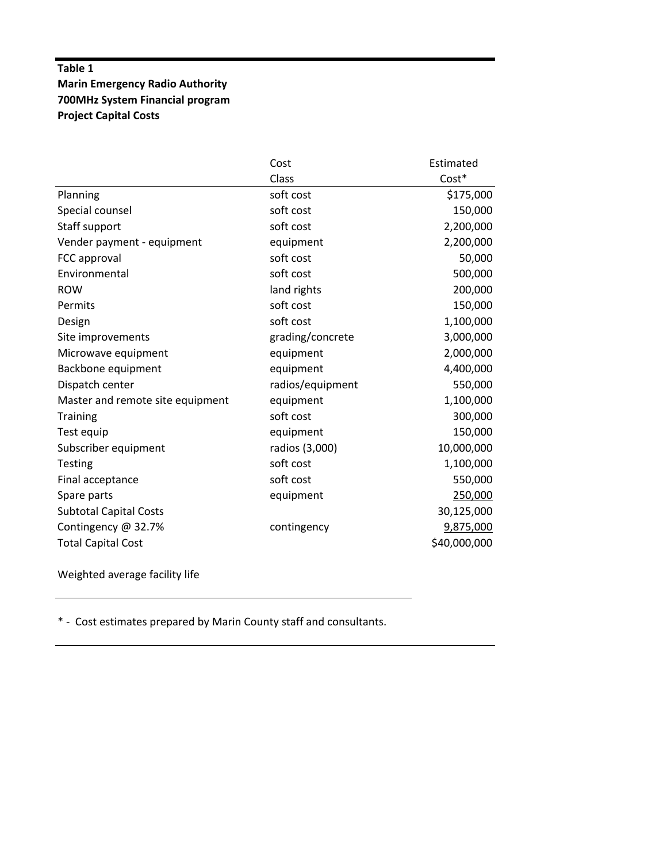## **Table 1 Marin Emergency Radio Authority 700MHz System Financial program Project Capital Costs**

|                                  | Cost             | Estimated    |
|----------------------------------|------------------|--------------|
|                                  | Class            | Cost*        |
| Planning                         | soft cost        | \$175,000    |
| Special counsel                  | soft cost        | 150,000      |
| Staff support                    | soft cost        | 2,200,000    |
| Vender payment - equipment       | equipment        | 2,200,000    |
| FCC approval                     | soft cost        | 50,000       |
| Environmental                    | soft cost        | 500,000      |
| <b>ROW</b>                       | land rights      | 200,000      |
| Permits                          | soft cost        | 150,000      |
| Design                           | soft cost        | 1,100,000    |
| Site improvements                | grading/concrete | 3,000,000    |
| Microwave equipment              | equipment        | 2,000,000    |
| Backbone equipment               | equipment        | 4,400,000    |
| Dispatch center                  | radios/equipment | 550,000      |
| Master and remote site equipment | equipment        | 1,100,000    |
| <b>Training</b>                  | soft cost        | 300,000      |
| Test equip                       | equipment        | 150,000      |
| Subscriber equipment             | radios (3,000)   | 10,000,000   |
| <b>Testing</b>                   | soft cost        | 1,100,000    |
| Final acceptance                 | soft cost        | 550,000      |
| Spare parts                      | equipment        | 250,000      |
| <b>Subtotal Capital Costs</b>    |                  | 30,125,000   |
| Contingency @ 32.7%              | contingency      | 9,875,000    |
| <b>Total Capital Cost</b>        |                  | \$40,000,000 |

Weighted average facility life

\* ‐ Cost estimates prepared by Marin County staff and consultants.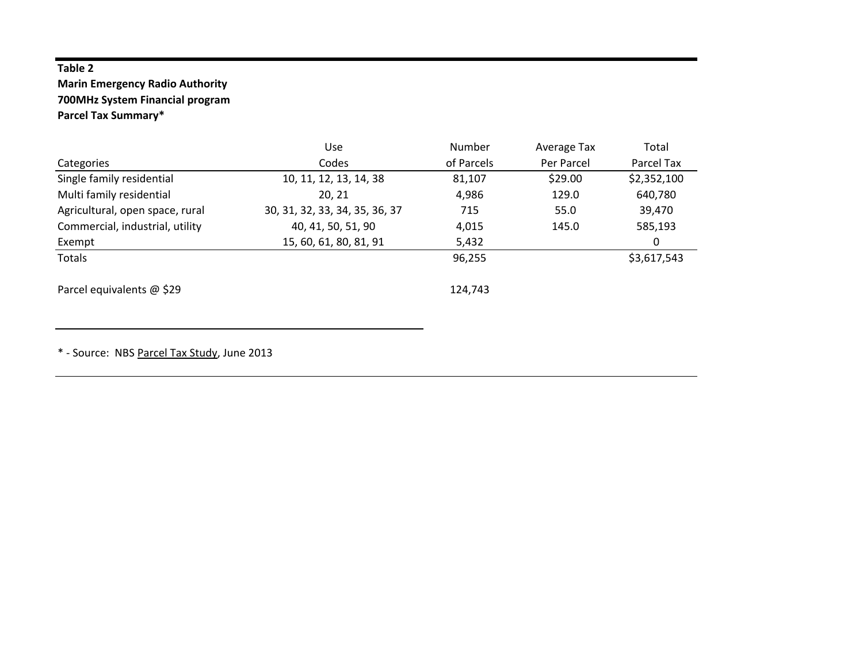## **Table 2**

## **Marin Emergency Radio Authority 700MHz System Financial program Parcel Tax Summary\***

|                                 | Use                            | Number     | Average Tax | Total       |
|---------------------------------|--------------------------------|------------|-------------|-------------|
| Categories                      | Codes                          | of Parcels | Per Parcel  | Parcel Tax  |
| Single family residential       | 10, 11, 12, 13, 14, 38         | 81,107     | \$29.00     | \$2,352,100 |
| Multi family residential        | 20, 21                         | 4,986      | 129.0       | 640,780     |
| Agricultural, open space, rural | 30, 31, 32, 33, 34, 35, 36, 37 | 715        | 55.0        | 39,470      |
| Commercial, industrial, utility | 40, 41, 50, 51, 90             | 4,015      | 145.0       | 585,193     |
| Exempt                          | 15, 60, 61, 80, 81, 91         | 5,432      |             | 0           |
| Totals                          |                                | 96,255     |             | \$3,617,543 |
| Parcel equivalents @ \$29       |                                | 124,743    |             |             |

\* ‐ Source: NBS Parcel Tax Study, June 2013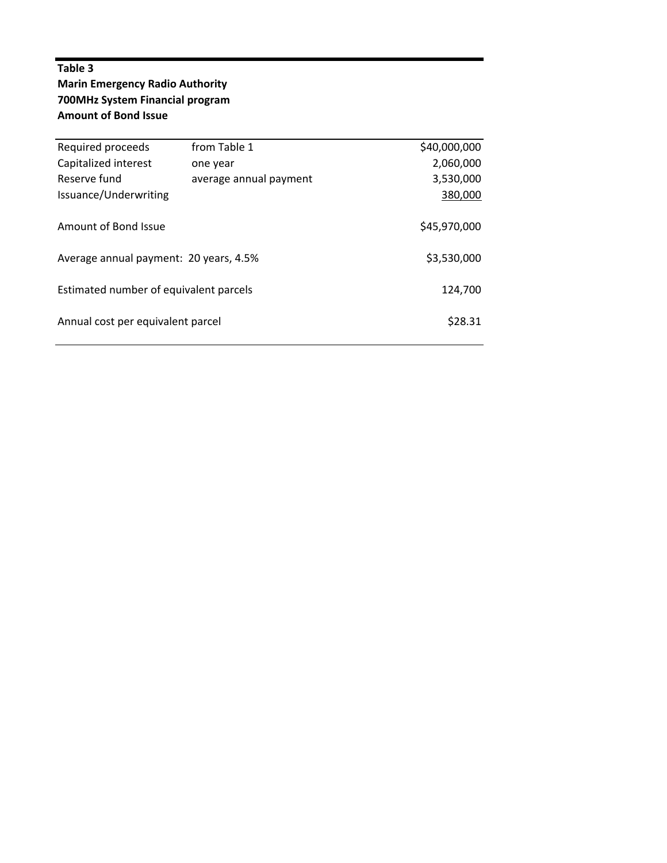## **Table 3 Marin Emergency Radio Authority 700MHz System Financial program Amount of Bond Issue**

| Required proceeds                            | from Table 1           | \$40,000,000 |  |  |
|----------------------------------------------|------------------------|--------------|--|--|
| Capitalized interest                         | one year               | 2,060,000    |  |  |
| Reserve fund                                 | average annual payment | 3,530,000    |  |  |
| Issuance/Underwriting                        |                        | 380,000      |  |  |
|                                              |                        |              |  |  |
| Amount of Bond Issue                         | \$45,970,000           |              |  |  |
|                                              |                        |              |  |  |
| Average annual payment: 20 years, 4.5%       | \$3,530,000            |              |  |  |
|                                              |                        |              |  |  |
| Estimated number of equivalent parcels       | 124,700                |              |  |  |
|                                              |                        |              |  |  |
| \$28.31<br>Annual cost per equivalent parcel |                        |              |  |  |